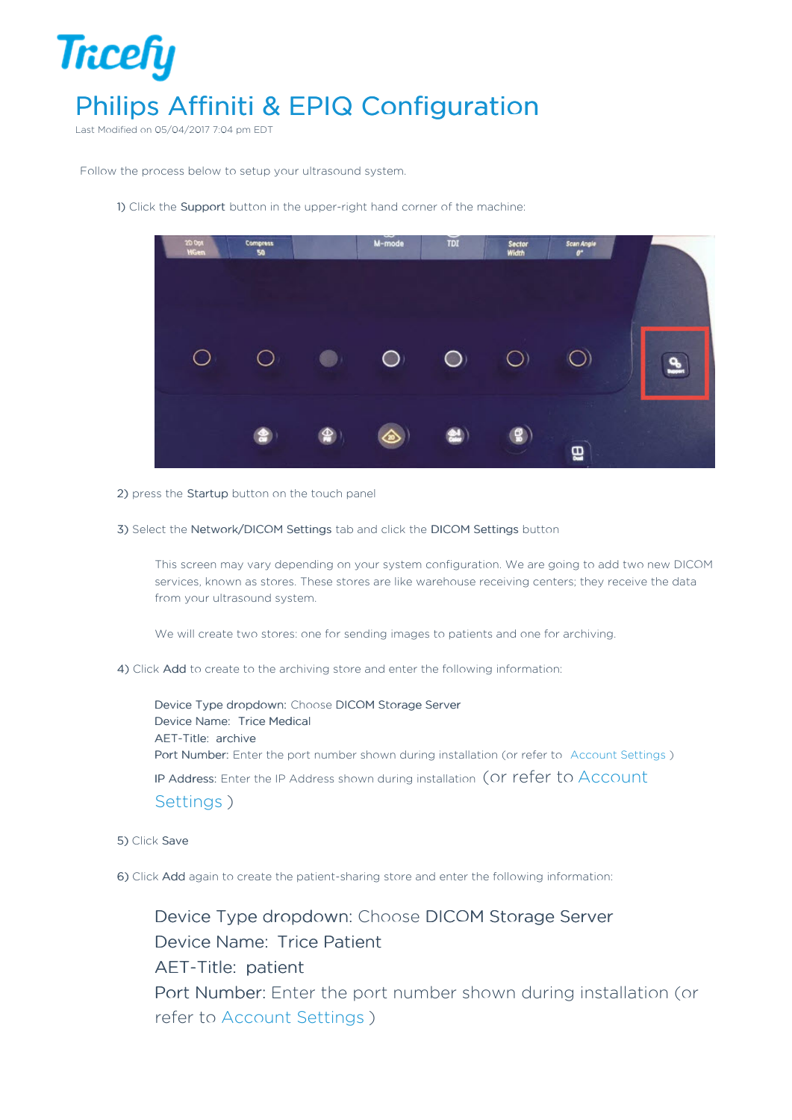

Last Modified on 05/04/2017 7:04 pm EDT

Follow the process below to setup your ultrasound system.

1) Click the Support button in the upper-right hand corner of the machine:



- 2) press the Startup button on the touch panel
- 3) Select the Network/DICOM Settings tab and click the DICOM Settings button

This screen may vary depending on your system configuration. We are going to add two new DICOM services, known as stores. These stores are like warehouse receiving centers; they receive the data from your ultrasound system.

We will create two stores: one for sending images to patients and one for archiving.

4) Click Add to create to the archiving store and enter the following information:

Device Type dropdown: Choose DICOM Storage Server Device Name: Trice Medical AET-Title: archive Port Number: Enter the port number shown during installation (or refer to Account Settings ) IP Address: Enter the IP Address shown during installation (or refer to Account Settings )

5) Click Save

6) Click Add again to create the patient-sharing store and enter the following information:

Device Type dropdown: Choose DICOM Storage Server Device Name: Trice Patient AET-Title: patient Port Number: Enter the port number shown during installation (or refer to Account Settings )